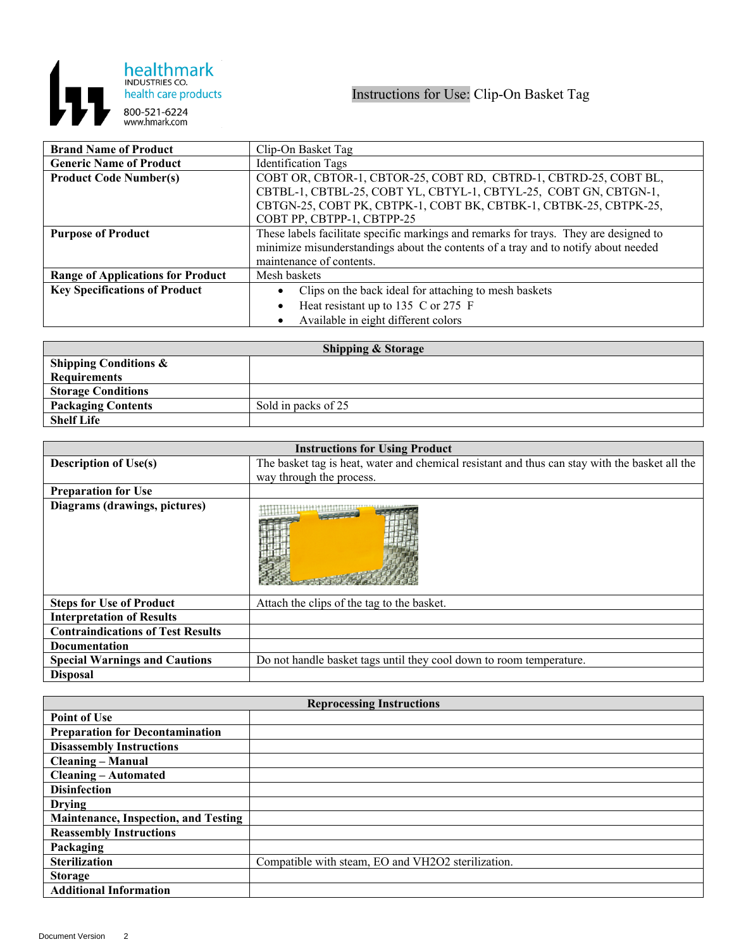

| <b>Brand Name of Product</b>             | Clip-On Basket Tag                                                                    |
|------------------------------------------|---------------------------------------------------------------------------------------|
| <b>Generic Name of Product</b>           | <b>Identification Tags</b>                                                            |
| <b>Product Code Number(s)</b>            | COBT OR, CBTOR-1, CBTOR-25, COBT RD, CBTRD-1, CBTRD-25, COBT BL,                      |
|                                          | CBTBL-1, CBTBL-25, COBT YL, CBTYL-1, CBTYL-25, COBT GN, CBTGN-1,                      |
|                                          | CBTGN-25, COBT PK, CBTPK-1, COBT BK, CBTBK-1, CBTBK-25, CBTPK-25,                     |
|                                          | COBT PP, CBTPP-1, CBTPP-25                                                            |
| <b>Purpose of Product</b>                | These labels facilitate specific markings and remarks for trays. They are designed to |
|                                          | minimize misunderstandings about the contents of a tray and to notify about needed    |
|                                          | maintenance of contents.                                                              |
| <b>Range of Applications for Product</b> | Mesh baskets                                                                          |
| <b>Key Specifications of Product</b>     | Clips on the back ideal for attaching to mesh baskets                                 |
|                                          | Heat resistant up to 135 C or 275 F                                                   |
|                                          | Available in eight different colors                                                   |

| <b>Shipping &amp; Storage</b>    |                     |  |
|----------------------------------|---------------------|--|
| <b>Shipping Conditions &amp;</b> |                     |  |
| <b>Requirements</b>              |                     |  |
| <b>Storage Conditions</b>        |                     |  |
| <b>Packaging Contents</b>        | Sold in packs of 25 |  |
| <b>Shelf Life</b>                |                     |  |

| <b>Instructions for Using Product</b>    |                                                                                                |
|------------------------------------------|------------------------------------------------------------------------------------------------|
| <b>Description of Use(s)</b>             | The basket tag is heat, water and chemical resistant and thus can stay with the basket all the |
|                                          | way through the process.                                                                       |
| <b>Preparation for Use</b>               |                                                                                                |
| Diagrams (drawings, pictures)            |                                                                                                |
| <b>Steps for Use of Product</b>          | Attach the clips of the tag to the basket.                                                     |
| <b>Interpretation of Results</b>         |                                                                                                |
| <b>Contraindications of Test Results</b> |                                                                                                |
| <b>Documentation</b>                     |                                                                                                |
| <b>Special Warnings and Cautions</b>     | Do not handle basket tags until they cool down to room temperature.                            |
| <b>Disposal</b>                          |                                                                                                |

| <b>Reprocessing Instructions</b>            |                                                    |  |
|---------------------------------------------|----------------------------------------------------|--|
| <b>Point of Use</b>                         |                                                    |  |
| <b>Preparation for Decontamination</b>      |                                                    |  |
| <b>Disassembly Instructions</b>             |                                                    |  |
| <b>Cleaning – Manual</b>                    |                                                    |  |
| <b>Cleaning – Automated</b>                 |                                                    |  |
| <b>Disinfection</b>                         |                                                    |  |
| <b>Drying</b>                               |                                                    |  |
| <b>Maintenance, Inspection, and Testing</b> |                                                    |  |
| <b>Reassembly Instructions</b>              |                                                    |  |
| Packaging                                   |                                                    |  |
| <b>Sterilization</b>                        | Compatible with steam, EO and VH2O2 sterilization. |  |
| <b>Storage</b>                              |                                                    |  |
| <b>Additional Information</b>               |                                                    |  |